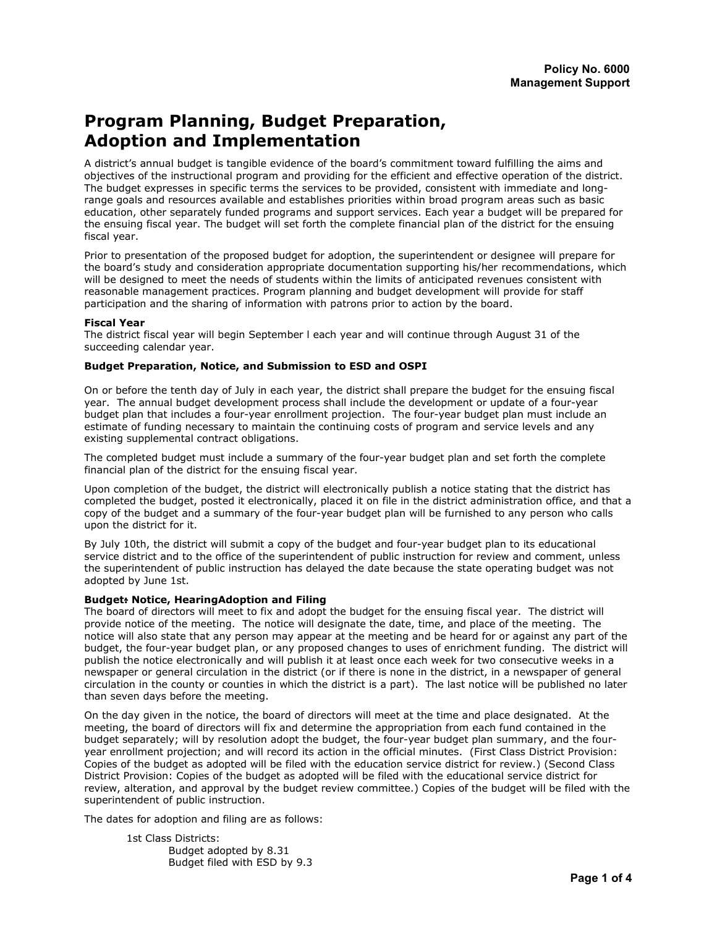# Program Planning, Budget Preparation, Adoption and Implementation

A district's annual budget is tangible evidence of the board's commitment toward fulfilling the aims and objectives of the instructional program and providing for the efficient and effective operation of the district. The budget expresses in specific terms the services to be provided, consistent with immediate and longrange goals and resources available and establishes priorities within broad program areas such as basic education, other separately funded programs and support services. Each year a budget will be prepared for the ensuing fiscal year. The budget will set forth the complete financial plan of the district for the ensuing fiscal year.

Prior to presentation of the proposed budget for adoption, the superintendent or designee will prepare for the board's study and consideration appropriate documentation supporting his/her recommendations, which will be designed to meet the needs of students within the limits of anticipated revenues consistent with reasonable management practices. Program planning and budget development will provide for staff participation and the sharing of information with patrons prior to action by the board.

#### Fiscal Year

The district fiscal year will begin September l each year and will continue through August 31 of the succeeding calendar year.

### Budget Preparation, Notice, and Submission to ESD and OSPI

On or before the tenth day of July in each year, the district shall prepare the budget for the ensuing fiscal year. The annual budget development process shall include the development or update of a four-year budget plan that includes a four-year enrollment projection. The four-year budget plan must include an estimate of funding necessary to maintain the continuing costs of program and service levels and any existing supplemental contract obligations.

The completed budget must include a summary of the four-year budget plan and set forth the complete financial plan of the district for the ensuing fiscal year.

Upon completion of the budget, the district will electronically publish a notice stating that the district has completed the budget, posted it electronically, placed it on file in the district administration office, and that a copy of the budget and a summary of the four-year budget plan will be furnished to any person who calls upon the district for it.

By July 10th, the district will submit a copy of the budget and four-year budget plan to its educational service district and to the office of the superintendent of public instruction for review and comment, unless the superintendent of public instruction has delayed the date because the state operating budget was not adopted by June 1st.

#### Budget: Notice, HearingAdoption and Filing

The board of directors will meet to fix and adopt the budget for the ensuing fiscal year. The district will provide notice of the meeting. The notice will designate the date, time, and place of the meeting. The notice will also state that any person may appear at the meeting and be heard for or against any part of the budget, the four-year budget plan, or any proposed changes to uses of enrichment funding. The district will publish the notice electronically and will publish it at least once each week for two consecutive weeks in a newspaper or general circulation in the district (or if there is none in the district, in a newspaper of general circulation in the county or counties in which the district is a part). The last notice will be published no later than seven days before the meeting.

On the day given in the notice, the board of directors will meet at the time and place designated. At the meeting, the board of directors will fix and determine the appropriation from each fund contained in the budget separately; will by resolution adopt the budget, the four-year budget plan summary, and the fouryear enrollment projection; and will record its action in the official minutes. (First Class District Provision: Copies of the budget as adopted will be filed with the education service district for review.) (Second Class District Provision: Copies of the budget as adopted will be filed with the educational service district for review, alteration, and approval by the budget review committee.) Copies of the budget will be filed with the superintendent of public instruction.

The dates for adoption and filing are as follows:

1st Class Districts: Budget adopted by 8.31 Budget filed with ESD by 9.3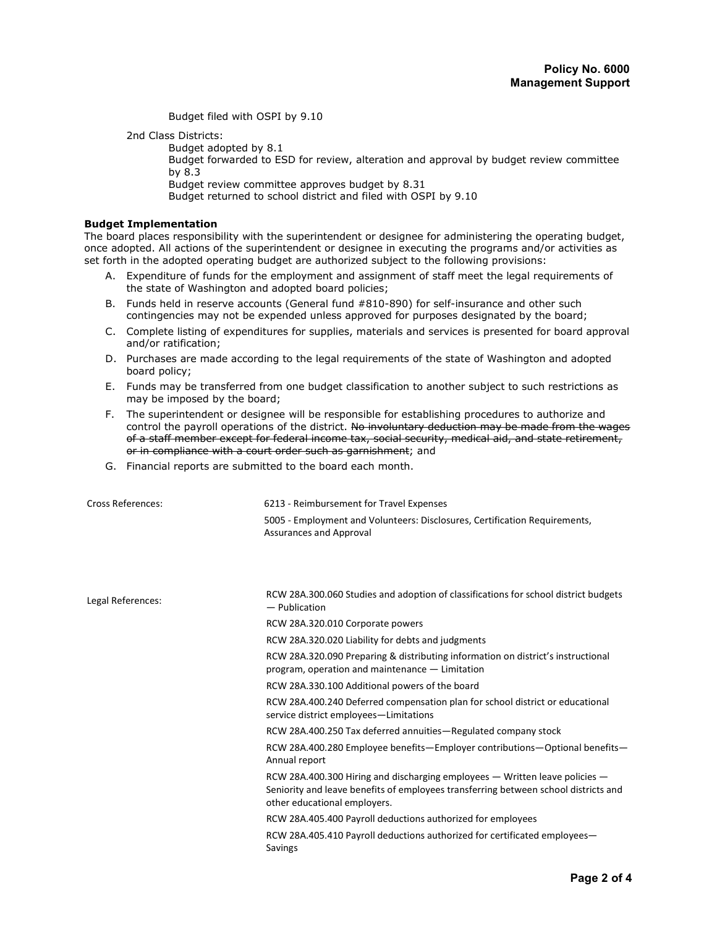Budget filed with OSPI by 9.10

2nd Class Districts:

Budget adopted by 8.1

 Budget forwarded to ESD for review, alteration and approval by budget review committee by 8.3

Budget review committee approves budget by 8.31

Budget returned to school district and filed with OSPI by 9.10

#### Budget Implementation

The board places responsibility with the superintendent or designee for administering the operating budget, once adopted. All actions of the superintendent or designee in executing the programs and/or activities as set forth in the adopted operating budget are authorized subject to the following provisions:

- A. Expenditure of funds for the employment and assignment of staff meet the legal requirements of the state of Washington and adopted board policies;
- B. Funds held in reserve accounts (General fund #810-890) for self-insurance and other such contingencies may not be expended unless approved for purposes designated by the board;
- C. Complete listing of expenditures for supplies, materials and services is presented for board approval and/or ratification;
- D. Purchases are made according to the legal requirements of the state of Washington and adopted board policy;
- E. Funds may be transferred from one budget classification to another subject to such restrictions as may be imposed by the board;
- F. The superintendent or designee will be responsible for establishing procedures to authorize and control the payroll operations of the district. No involuntary deduction may be made from the wages of a staff member except for federal income tax, social security, medical aid, and state retirement, or in compliance with a court order such as garnishment; and
- G. Financial reports are submitted to the board each month.

| <b>Cross References:</b> | 6213 - Reimbursement for Travel Expenses<br>5005 - Employment and Volunteers: Disclosures, Certification Requirements,<br>Assurances and Approval                                                  |
|--------------------------|----------------------------------------------------------------------------------------------------------------------------------------------------------------------------------------------------|
| Legal References:        | RCW 28A.300.060 Studies and adoption of classifications for school district budgets<br>$-$ Publication                                                                                             |
|                          | RCW 28A.320.010 Corporate powers                                                                                                                                                                   |
|                          | RCW 28A.320.020 Liability for debts and judgments                                                                                                                                                  |
|                          | RCW 28A.320.090 Preparing & distributing information on district's instructional<br>program, operation and maintenance - Limitation                                                                |
|                          | RCW 28A.330.100 Additional powers of the board                                                                                                                                                     |
|                          | RCW 28A.400.240 Deferred compensation plan for school district or educational<br>service district employees-Limitations                                                                            |
|                          | RCW 28A.400.250 Tax deferred annuities-Regulated company stock                                                                                                                                     |
|                          | RCW 28A.400.280 Employee benefits—Employer contributions—Optional benefits—<br>Annual report                                                                                                       |
|                          | RCW 28A.400.300 Hiring and discharging employees — Written leave policies —<br>Seniority and leave benefits of employees transferring between school districts and<br>other educational employers. |
|                          | RCW 28A.405.400 Payroll deductions authorized for employees                                                                                                                                        |
|                          | RCW 28A.405.410 Payroll deductions authorized for certificated employees—<br>Savings                                                                                                               |
|                          |                                                                                                                                                                                                    |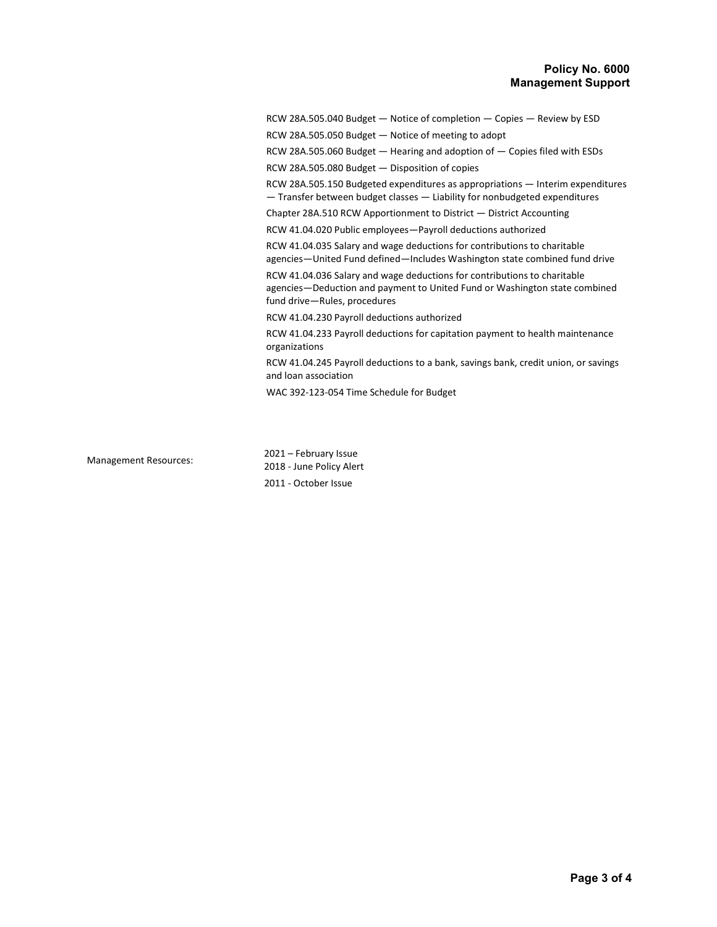## Policy No. 6000 Management Support

RCW 28A.505.040 Budget — Notice of completion — Copies — Review by ESD

RCW 28A.505.050 Budget — Notice of meeting to adopt

RCW 28A.505.060 Budget — Hearing and adoption of — Copies filed with ESDs

RCW 28A.505.080 Budget — Disposition of copies

RCW 28A.505.150 Budgeted expenditures as appropriations — Interim expenditures — Transfer between budget classes — Liability for nonbudgeted expenditures

Chapter 28A.510 RCW Apportionment to District — District Accounting

RCW 41.04.020 Public employees—Payroll deductions authorized

RCW 41.04.035 Salary and wage deductions for contributions to charitable agencies—United Fund defined—Includes Washington state combined fund drive

RCW 41.04.036 Salary and wage deductions for contributions to charitable agencies—Deduction and payment to United Fund or Washington state combined fund drive—Rules, procedures

RCW 41.04.230 Payroll deductions authorized

RCW 41.04.233 Payroll deductions for capitation payment to health maintenance organizations

RCW 41.04.245 Payroll deductions to a bank, savings bank, credit union, or savings and loan association

WAC 392-123-054 Time Schedule for Budget

Management Resources: 2021 – February Issue 2018 - June Policy Alert 2011 - October Issue